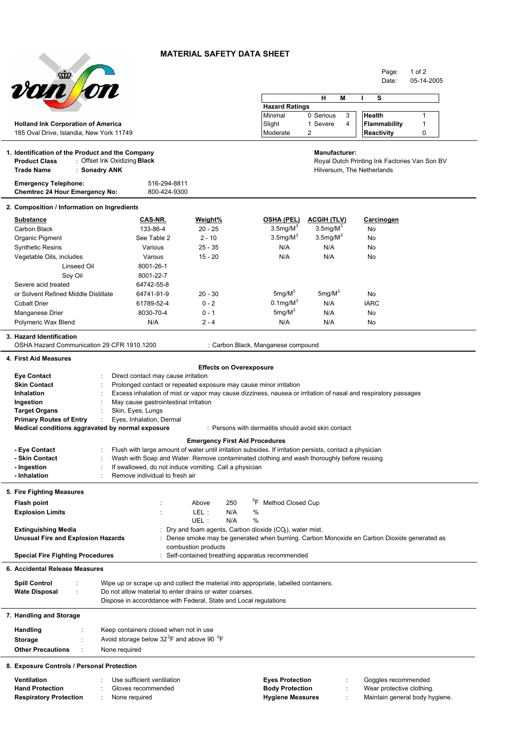## **MATERIAL SAFETY DATA SHEET**



Page: 1 of 2

| <i><b>von fon</b></i>                                                |                                                                                                                |                                       |                                                                                           |                            | Date:                                         | 05-14-2005 |  |
|----------------------------------------------------------------------|----------------------------------------------------------------------------------------------------------------|---------------------------------------|-------------------------------------------------------------------------------------------|----------------------------|-----------------------------------------------|------------|--|
|                                                                      |                                                                                                                |                                       |                                                                                           |                            |                                               |            |  |
|                                                                      |                                                                                                                |                                       | н<br>s<br>Μ                                                                               |                            |                                               |            |  |
|                                                                      |                                                                                                                |                                       | <b>Hazard Ratings</b><br>Minimal                                                          | 0 Serious<br>3             | <b>Health</b>                                 | 1          |  |
| <b>Holland Ink Corporation of America</b>                            |                                                                                                                |                                       | Slight                                                                                    | 1 Severe<br>4              | <b>Flammability</b>                           | 1          |  |
| 185 Oval Drive, Islandia, New York 11749                             |                                                                                                                |                                       | Moderate                                                                                  | 2                          | Reactivity                                    | 0          |  |
|                                                                      |                                                                                                                |                                       |                                                                                           |                            |                                               |            |  |
| 1. Identification of the Product and the Company                     |                                                                                                                |                                       |                                                                                           | <b>Manufacturer:</b>       |                                               |            |  |
| <b>Product Class</b>                                                 | : Offset Ink Oxidizing <b>Black</b>                                                                            |                                       |                                                                                           |                            | Royal Dutch Printing Ink Factories Van Son BV |            |  |
| <b>Trade Name</b><br>: Sonadry ANK                                   |                                                                                                                |                                       |                                                                                           | Hilversum, The Netherlands |                                               |            |  |
|                                                                      |                                                                                                                |                                       |                                                                                           |                            |                                               |            |  |
| <b>Emergency Telephone:</b><br><b>Chemtrec 24 Hour Emergency No:</b> | 516-294-8811<br>800-424-9300                                                                                   |                                       |                                                                                           |                            |                                               |            |  |
|                                                                      |                                                                                                                |                                       |                                                                                           |                            |                                               |            |  |
| 2. Composition / Information on Ingredients                          |                                                                                                                |                                       |                                                                                           |                            |                                               |            |  |
| <b>Substance</b>                                                     | CAS-NR.                                                                                                        | Weight%                               | <b>OSHA (PEL)</b>                                                                         | <b>ACGIH (TLV)</b>         | Carcinogen                                    |            |  |
| Carbon Black                                                         | 133-86-4                                                                                                       | $20 - 25$                             | $3.5$ mg/M $3$                                                                            | $3.5$ mg/M $3$             | No                                            |            |  |
| Organic Pigment                                                      | See Table 2                                                                                                    | $2 - 10$                              | $3.5$ mg/ $M3$                                                                            | $3.5$ mg/M $3$             | No                                            |            |  |
| <b>Synthetic Resins</b>                                              | Various                                                                                                        | $25 - 35$                             | N/A                                                                                       | N/A                        | No                                            |            |  |
| Vegetable Oils, includes                                             | Varous                                                                                                         | $15 - 20$                             | N/A                                                                                       | N/A                        | No                                            |            |  |
| Linseed Oil                                                          | 8001-26-1                                                                                                      |                                       |                                                                                           |                            |                                               |            |  |
| Soy Oil                                                              | 8001-22-7                                                                                                      |                                       |                                                                                           |                            |                                               |            |  |
| Severe acid treated                                                  | 64742-55-8                                                                                                     |                                       |                                                                                           |                            |                                               |            |  |
| or Solvent Refined Middle Distillate                                 | 64741-91-9                                                                                                     | $20 - 30$                             | $5 \text{mq/M}^3$                                                                         | $5 \text{mq/M}^3$          | No.                                           |            |  |
| <b>Cobalt Drier</b>                                                  | 61789-52-4                                                                                                     | $0 - 2$                               | $0.1$ mg/M $3$                                                                            | N/A                        | <b>IARC</b>                                   |            |  |
| Manganese Drier                                                      | 8030-70-4                                                                                                      | $0 - 1$                               | $5mg/M^3$                                                                                 | N/A                        | No                                            |            |  |
| Polymeric Wax Blend                                                  | N/A                                                                                                            | $2 - 4$                               | N/A                                                                                       | N/A                        | No                                            |            |  |
| 3. Hazard Identification                                             |                                                                                                                |                                       |                                                                                           |                            |                                               |            |  |
| OSHA Hazard Communication 29 CFR 1910.1200                           |                                                                                                                |                                       | : Carbon Black, Manganese compound                                                        |                            |                                               |            |  |
| 4. First Aid Measures                                                |                                                                                                                |                                       |                                                                                           |                            |                                               |            |  |
|                                                                      |                                                                                                                | <b>Effects on Overexposure</b>        |                                                                                           |                            |                                               |            |  |
| <b>Eye Contact</b>                                                   | Direct contact may cause irritation                                                                            |                                       |                                                                                           |                            |                                               |            |  |
| <b>Skin Contact</b>                                                  | Prolonged contact or repeated exposure may cause minor irritation                                              |                                       |                                                                                           |                            |                                               |            |  |
| Inhalation                                                           | Excess inhalation of mist or vapor may cause dizziness, nausea or irritation of nasal and respiratory passages |                                       |                                                                                           |                            |                                               |            |  |
| Ingestion                                                            | May cause gastrointestinal irritation                                                                          |                                       |                                                                                           |                            |                                               |            |  |
| <b>Target Organs</b>                                                 | Skin, Eyes, Lungs                                                                                              |                                       |                                                                                           |                            |                                               |            |  |
| <b>Primary Routes of Entry</b>                                       | Eyes, Inhalation, Dermal                                                                                       |                                       |                                                                                           |                            |                                               |            |  |
| Medical conditions aggravated by normal exposure                     |                                                                                                                |                                       | : Persons with dermatitis should avoid skin contact                                       |                            |                                               |            |  |
|                                                                      |                                                                                                                | <b>Emergency First Aid Procedures</b> |                                                                                           |                            |                                               |            |  |
| - Eye Contact                                                        | Flush with large amount of water until irritation subsides. If irritation persists, contact a physician        |                                       |                                                                                           |                            |                                               |            |  |
| - Skin Contact                                                       | Wash with Soap and Water. Remove contaminated clothing and wash thoroughly before reusing                      |                                       |                                                                                           |                            |                                               |            |  |
| - Ingestion                                                          | If swallowed, do not induce vomiting. Call a physician                                                         |                                       |                                                                                           |                            |                                               |            |  |
| - Inhalation                                                         | Remove individual to fresh air                                                                                 |                                       |                                                                                           |                            |                                               |            |  |
| 5. Fire Fighting Measures                                            |                                                                                                                |                                       |                                                                                           |                            |                                               |            |  |
| <b>Flash point</b>                                                   |                                                                                                                | 250<br>Above                          | <sup>0</sup> F Method Closed Cup                                                          |                            |                                               |            |  |
| <b>Explosion Limits</b>                                              |                                                                                                                | LEL:<br>N/A                           | %                                                                                         |                            |                                               |            |  |
|                                                                      |                                                                                                                | UEL :<br>N/A                          | %                                                                                         |                            |                                               |            |  |
| <b>Extinguishing Media</b>                                           |                                                                                                                |                                       | Dry and foam agents, Carbon dioxide (CO <sub>2</sub> ), water mist.                       |                            |                                               |            |  |
| <b>Unusual Fire and Explosion Hazards</b>                            |                                                                                                                |                                       | Dense smoke may be generated when burning. Carbon Monoxide en Carbon Dioxide generated as |                            |                                               |            |  |
|                                                                      |                                                                                                                | combustion products                   |                                                                                           |                            |                                               |            |  |
| <b>Special Fire Fighting Procedures</b>                              |                                                                                                                |                                       | Self-contained breathing apparatus recommended                                            |                            |                                               |            |  |
| 6. Accidental Release Measures                                       |                                                                                                                |                                       |                                                                                           |                            |                                               |            |  |
| <b>Spill Control</b>                                                 | Wipe up or scrape up and collect the material into appropriate, labelled containers.                           |                                       |                                                                                           |                            |                                               |            |  |
| <b>Wate Disposal</b>                                                 | Do not allow material to enter drains or water coarses.                                                        |                                       |                                                                                           |                            |                                               |            |  |
|                                                                      | Dispose in accorddance with Federal, State and Local regulations                                               |                                       |                                                                                           |                            |                                               |            |  |
|                                                                      |                                                                                                                |                                       |                                                                                           |                            |                                               |            |  |
| 7. Handling and Storage                                              |                                                                                                                |                                       |                                                                                           |                            |                                               |            |  |
| <b>Handling</b>                                                      | Keep containers closed when not in use                                                                         |                                       |                                                                                           |                            |                                               |            |  |
| <b>Storage</b>                                                       | Avoid storage below 32 <sup>°</sup> F and above 90 <sup>°</sup> F                                              |                                       |                                                                                           |                            |                                               |            |  |
| <b>Other Precautions</b>                                             | None required                                                                                                  |                                       |                                                                                           |                            |                                               |            |  |
|                                                                      |                                                                                                                |                                       |                                                                                           |                            |                                               |            |  |
| 8. Exposure Controls / Personal Protection                           |                                                                                                                |                                       |                                                                                           |                            |                                               |            |  |
| Ventilation                                                          | Use sufficient ventilation                                                                                     |                                       | <b>Eyes Protection</b>                                                                    |                            | Goggles recommended                           |            |  |
| <b>Hand Protection</b>                                               | Gloves recommended                                                                                             |                                       | <b>Body Protection</b>                                                                    |                            | Wear protective clothing.                     |            |  |

**Hand Protection** : Gloves recommended **Body Protection** : Wear protective clothing. Respiratory Protection : None required **in the end of the Hygiene Measures** : Maintain general body hygiene.